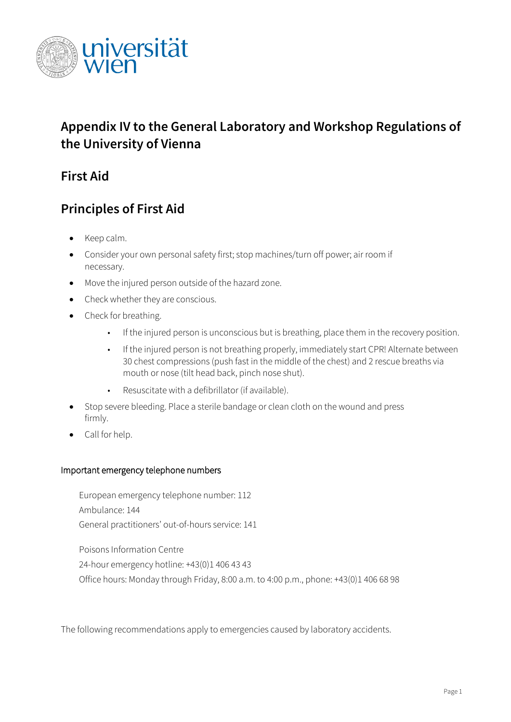

# **Appendix IV to the General Laboratory and Workshop Regulations of the University of Vienna**

## **First Aid**

# **Principles of First Aid**

- Keep calm.
- Consider your own personal safety first; stop machines/turn off power; air room if necessary.
- Move the injured person outside of the hazard zone.
- Check whether they are conscious.
- Check for breathing.
	- If the injured person is unconscious but is breathing, place them in the recovery position.
	- If the injured person is not breathing properly, immediately start CPR! Alternate between 30 chest compressions (push fast in the middle of the chest) and 2 rescue breaths via mouth or nose (tilt head back, pinch nose shut).
	- Resuscitate with a defibrillator (if available).
- Stop severe bleeding. Place a sterile bandage or clean cloth on the wound and press firmly.
- Call for help.

#### Important emergency telephone numbers

European emergency telephone number: 112 Ambulance: 144 General practitioners' out-of-hours service: 141

Poisons Information Centre 24-hour emergency hotline: +43(0)1 406 43 43 Office hours: Monday through Friday, 8:00 a.m. to 4:00 p.m., phone: +43(0)1 406 68 98

The following recommendations apply to emergencies caused by laboratory accidents.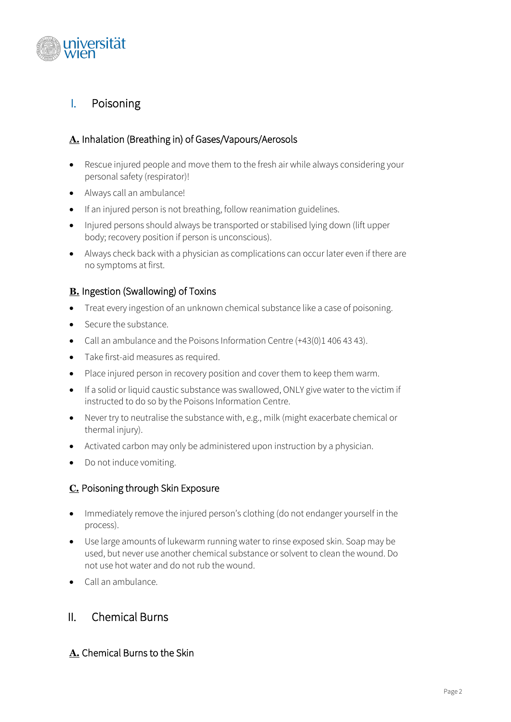

## I. Poisoning

### **A.** Inhalation (Breathing in) of Gases/Vapours/Aerosols

- Rescue injured people and move them to the fresh air while always considering your personal safety (respirator)!
- Always call an ambulance!
- If an injured person is not breathing, follow reanimation guidelines.
- Injured persons should always be transported or stabilised lying down (lift upper body; recovery position if person is unconscious).
- Always check back with a physician as complications can occur later even if there are no symptoms at first.

#### **B.** Ingestion (Swallowing) of Toxins

- Treat every ingestion of an unknown chemical substance like a case of poisoning.
- Secure the substance.
- Call an ambulance and the Poisons Information Centre (+43(0)1 406 43 43).
- Take first-aid measures as required.
- Place injured person in recovery position and cover them to keep them warm.
- If a solid or liquid caustic substance was swallowed, ONLY give water to the victim if instructed to do so by the Poisons Information Centre.
- Never try to neutralise the substance with, e.g., milk (might exacerbate chemical or thermal injury).
- Activated carbon may only be administered upon instruction by a physician.
- Do not induce vomiting.

#### **C.** Poisoning through Skin Exposure

- Immediately remove the injured person's clothing (do not endanger yourself in the process).
- Use large amounts of lukewarm running water to rinse exposed skin. Soap may be used, but never use another chemical substance or solvent to clean the wound. Do not use hot water and do not rub the wound.
- Call an ambulance.

## II. Chemical Burns

#### **A.** Chemical Burns to the Skin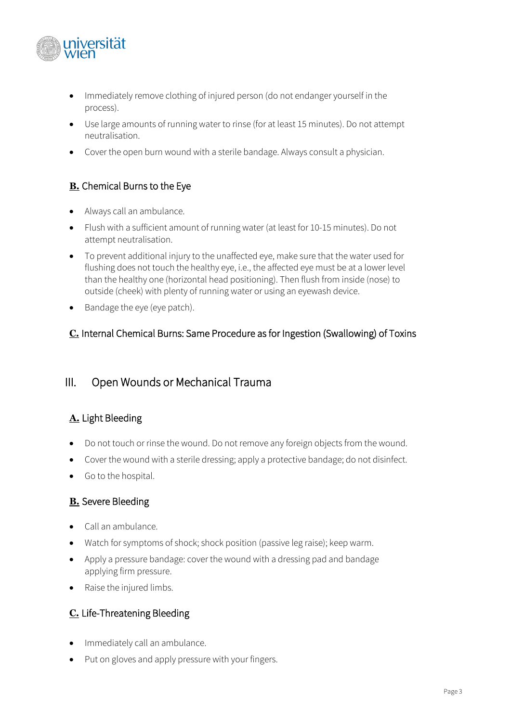

- Immediately remove clothing of injured person (do not endanger yourself in the process).
- Use large amounts of running water to rinse (for at least 15 minutes). Do not attempt neutralisation.
- Cover the open burn wound with a sterile bandage. Always consult a physician.

## **B.** Chemical Burns to the Eye

- Always call an ambulance.
- Flush with a sufficient amount of running water (at least for 10-15 minutes). Do not attempt neutralisation.
- To prevent additional injury to the unaffected eye, make sure that the water used for flushing does not touch the healthy eye, i.e., the affected eye must be at a lower level than the healthy one (horizontal head positioning). Then flush from inside (nose) to outside (cheek) with plenty of running water or using an eyewash device.
- Bandage the eye (eye patch).

#### **C.** Internal Chemical Burns: Same Procedure as for Ingestion (Swallowing) of Toxins

## III. Open Wounds or Mechanical Trauma

## **A.** Light Bleeding

- Do not touch or rinse the wound. Do not remove any foreign objects from the wound.
- Cover the wound with a sterile dressing; apply a protective bandage; do not disinfect.
- Go to the hospital.

#### **B.** Severe Bleeding

- Call an ambulance.
- Watch for symptoms of shock; shock position (passive leg raise); keep warm.
- Apply a pressure bandage: cover the wound with a dressing pad and bandage applying firm pressure.
- Raise the injured limbs.

## **C.** Life-Threatening Bleeding

- Immediately call an ambulance.
- Put on gloves and apply pressure with your fingers.